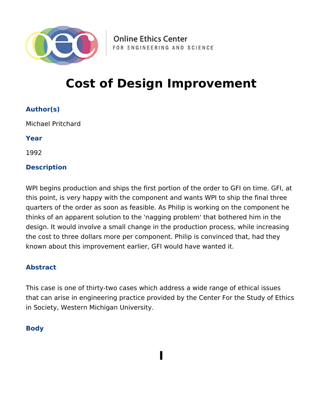

**Online Ethics Center** FOR ENGINEERING AND SCIENCE

# **Cost of Design Improvement**

**Author(s)**

Michael Pritchard

**Year**

1992

# **Description**

WPI begins production and ships the first portion of the order to GFI on time. GFI, at this point, is very happy with the component and wants WPI to ship the final three quarters of the order as soon as feasible. As Philip is working on the component he thinks of an apparent solution to the 'nagging problem' that bothered him in the design. It would involve a small change in the production process, while increasing the cost to three dollars more per component. Philip is convinced that, had they known about this improvement earlier, GFI would have wanted it.

## **Abstract**

This case is one of thirty-two cases which address a wide range of ethical issues that can arise in engineering practice provided by the Center For the Study of Ethics in Society, Western Michigan University.

**I**

# **Body**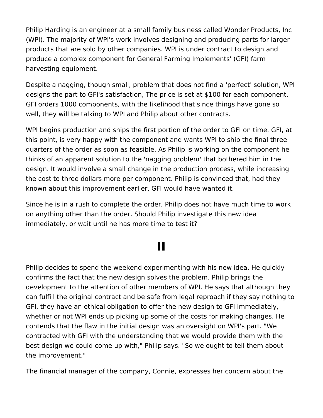Philip Harding is an engineer at a small family business called Wonder Products, Inc (WPI). The majority of WPI's work involves designing and producing parts for larger products that are sold by other companies. WPI is under contract to design and produce a complex component for General Farming Implements' (GFI) farm harvesting equipment.

Despite a nagging, though small, problem that does not find a 'perfect' solution, WPI designs the part to GFI's satisfaction, The price is set at \$100 for each component. GFI orders 1000 components, with the likelihood that since things have gone so well, they will be talking to WPI and Philip about other contracts.

WPI begins production and ships the first portion of the order to GFI on time. GFI, at this point, is very happy with the component and wants WPI to ship the final three quarters of the order as soon as feasible. As Philip is working on the component he thinks of an apparent solution to the 'nagging problem' that bothered him in the design. It would involve a small change in the production process, while increasing the cost to three dollars more per component. Philip is convinced that, had they known about this improvement earlier, GFI would have wanted it.

Since he is in a rush to complete the order, Philip does not have much time to work on anything other than the order. Should Philip investigate this new idea immediately, or wait until he has more time to test it?

# **II**

Philip decides to spend the weekend experimenting with his new idea. He quickly confirms the fact that the new design solves the problem. Philip brings the development to the attention of other members of WPI. He says that although they can fulfill the original contract and be safe from legal reproach if they say nothing to GFI, they have an ethical obligation to offer the new design to GFI immediately, whether or not WPI ends up picking up some of the costs for making changes. He contends that the flaw in the initial design was an oversight on WPI's part. "We contracted with GFI with the understanding that we would provide them with the best design we could come up with," Philip says. "So we ought to tell them about the improvement."

The financial manager of the company, Connie, expresses her concern about the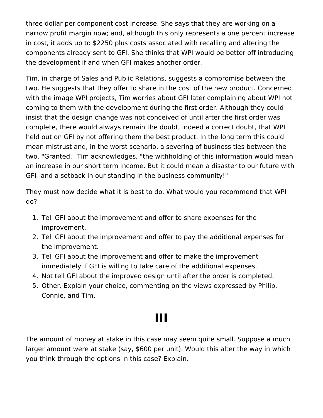three dollar per component cost increase. She says that they are working on a narrow profit margin now; and, although this only represents a one percent increase in cost, it adds up to \$2250 plus costs associated with recalling and altering the components already sent to GFI. She thinks that WPI would be better off introducing the development if and when GFI makes another order.

Tim, in charge of Sales and Public Relations, suggests a compromise between the two. He suggests that they offer to share in the cost of the new product. Concerned with the image WPI projects, Tim worries about GFI later complaining about WPI not coming to them with the development during the first order. Although they could insist that the design change was not conceived of until after the first order was complete, there would always remain the doubt, indeed a correct doubt, that WPI held out on GFI by not offering them the best product. In the long term this could mean mistrust and, in the worst scenario, a severing of business ties between the two. "Granted," Tim acknowledges, "the withholding of this information would mean an increase in our short term income. But it could mean a disaster to our future with GFI--and a setback in our standing in the business community!"

They must now decide what it is best to do. What would you recommend that WPI do?

- 1. Tell GFI about the improvement and offer to share expenses for the improvement.
- 2. Tell GFI about the improvement and offer to pay the additional expenses for the improvement.
- 3. Tell GFI about the improvement and offer to make the improvement immediately if GFI is willing to take care of the additional expenses.
- 4. Not tell GFI about the improved design until after the order is completed.
- 5. Other. Explain your choice, commenting on the views expressed by Philip, Connie, and Tim.

# **III**

The amount of money at stake in this case may seem quite small. Suppose a much larger amount were at stake (say, \$600 per unit). Would this alter the way in which you think through the options in this case? Explain.